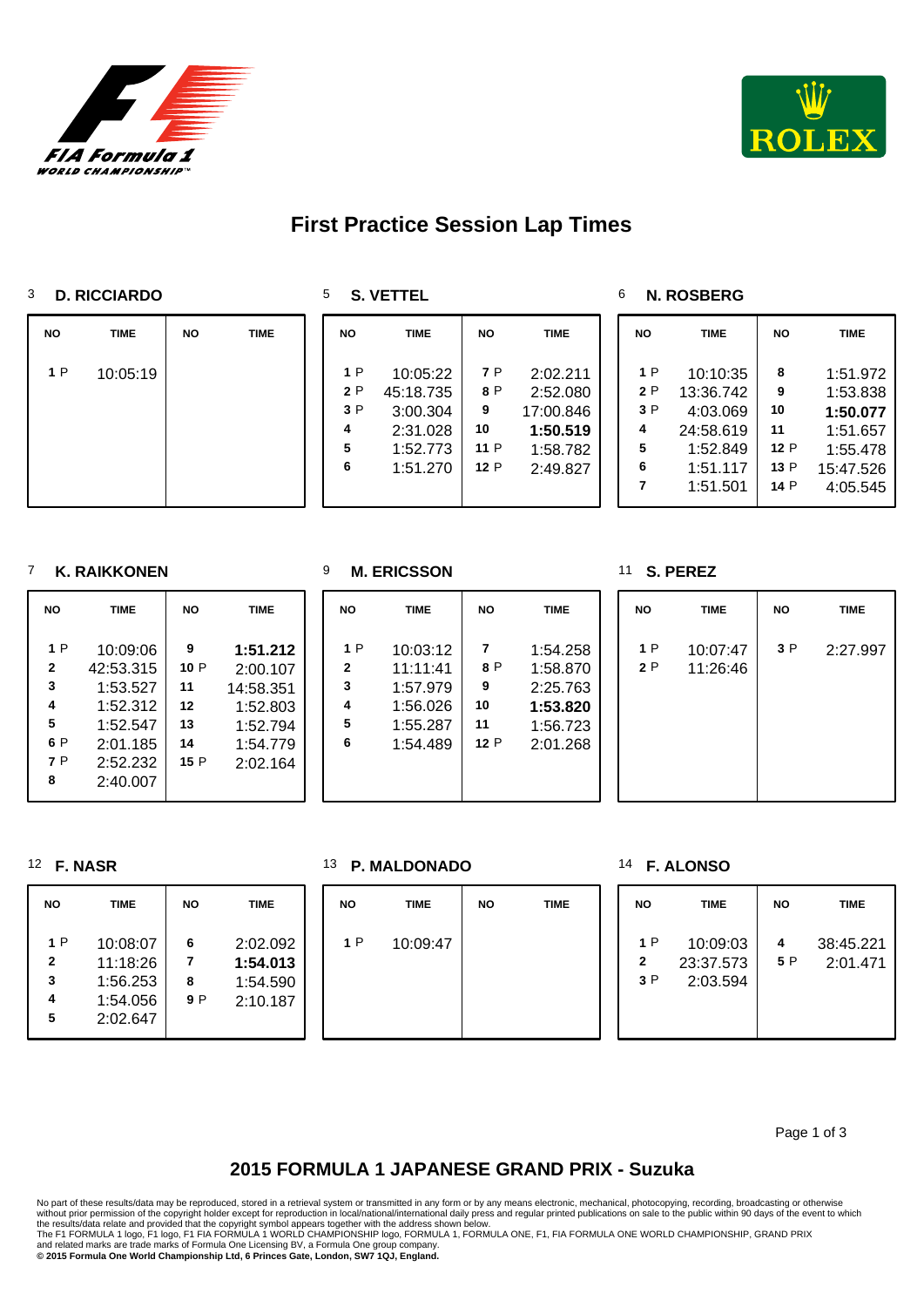



# **First Practice Session Lap Times**

#### **D. RICCIARDO**

**S. VETTEL**

#### **N. ROSBERG**

| <b>NO</b> | <b>TIME</b> | <b>NO</b> | <b>TIME</b> | <b>NO</b>                       | <b>TIME</b>                                                           | <b>NO</b>                            | <b>TIME</b>                                                           | <b>NO</b>                            | <b>TIME</b>                                                                        | <b>NO</b>                                  | <b>TIME</b>                                                                       |
|-----------|-------------|-----------|-------------|---------------------------------|-----------------------------------------------------------------------|--------------------------------------|-----------------------------------------------------------------------|--------------------------------------|------------------------------------------------------------------------------------|--------------------------------------------|-----------------------------------------------------------------------------------|
| 1 P       | 10:05:19    |           |             | 1 P<br>2P<br>3 P<br>4<br>5<br>6 | 10:05:22<br>45:18.735<br>3:00.304<br>2:31.028<br>1:52.773<br>1:51.270 | 7 P<br>8 P<br>9<br>10<br>11 P<br>12P | 2:02.211<br>2:52.080<br>17:00.846<br>1:50.519<br>1:58.782<br>2:49.827 | 1 P<br>2 P<br>3P<br>4<br>5<br>6<br>7 | 10:10:35<br>13:36.742<br>4:03.069<br>24:58.619<br>1:52.849<br>1:51.117<br>1:51.501 | 8<br>9<br>10<br>11<br>12 P<br>13 P<br>14 P | 1:51.972<br>1:53.838<br>1:50.077<br>1:51.657<br>1:55.478<br>15:47.526<br>4:05.545 |

**NO TIME NO TIME** 

 1:54.258 P 1:58.870 2:25.763 **1:53.820** 1:56.723 P 2:01.268

#### **K. RAIKKONEN**

| NΟ           | <b>TIME</b> | <b>NO</b> | <b>TIME</b> |
|--------------|-------------|-----------|-------------|
| 1 P          | 10:09:06    | 9         | 1:51.212    |
| $\mathbf{2}$ | 42:53.315   | 10 P      | 2:00.107    |
| 3            | 1:53.527    | 11        | 14:58.351   |
| 4            | 1:52.312    | 12        | 1:52.803    |
| 5            | 1:52.547    | 13        | 1:52.794    |
| 6 P          | 2:01.185    | 14        | 1:54.779    |
| 7P           | 2:52.232    | 15P       | 2:02.164    |
| 8            | 2:40.007    |           |             |

|  | IVI. ERIUƏƏUI |  |
|--|---------------|--|
|  |               |  |

 P 10:03:12 11:11:41 1:57.979 1:56.026 1:55.287 1:54.489

## **M. ERICSSON**

#### **S. PEREZ**

| <b>NO</b> | <b>TIME</b>          | <b>NO</b> | <b>TIME</b> |
|-----------|----------------------|-----------|-------------|
| 1P<br>2P  | 10:07:47<br>11:26:46 | 3P        | 2:27.997    |

#### **F. NASR**

| <b>NO</b>                          | <b>TIME</b>                                              |                    | <b>TIME</b>                                  |
|------------------------------------|----------------------------------------------------------|--------------------|----------------------------------------------|
| 1 P<br>$\mathbf{2}$<br>3<br>4<br>5 | 10:08:07<br>11:18:26<br>1:56.253<br>1:54.056<br>2:02.647 | 6<br>7<br>8<br>9 P | 2:02.092<br>1:54.013<br>1:54.590<br>2:10.187 |

#### **P. MALDONADO**

| <b>NO</b> | <b>TIME</b> | <b>NO</b> | <b>TIME</b> | N      |
|-----------|-------------|-----------|-------------|--------|
| 1P        | 10:09:47    |           |             | ŕ<br>í |

**F. ALONSO**

| <b>NO</b>                 | TIME                              | <b>NO</b> | TIME                  |
|---------------------------|-----------------------------------|-----------|-----------------------|
| 1 P<br>$\mathbf{2}$<br>3P | 10:09:03<br>23:37.573<br>2:03.594 | 4<br>5 P  | 38:45.221<br>2:01.471 |

Page 1 of 3

## **2015 FORMULA 1 JAPANESE GRAND PRIX - Suzuka**

No part of these results/data may be reproduced, stored in a retrieval system or transmitted in any form or by any means electronic, mechanical, photocopying, recording, broadcasting or otherwise

without prior permission of the copyright holder except for reproduction in local/national/international daily press and regular printed publications on sale to the public within 90 days of the event to which<br>the results/d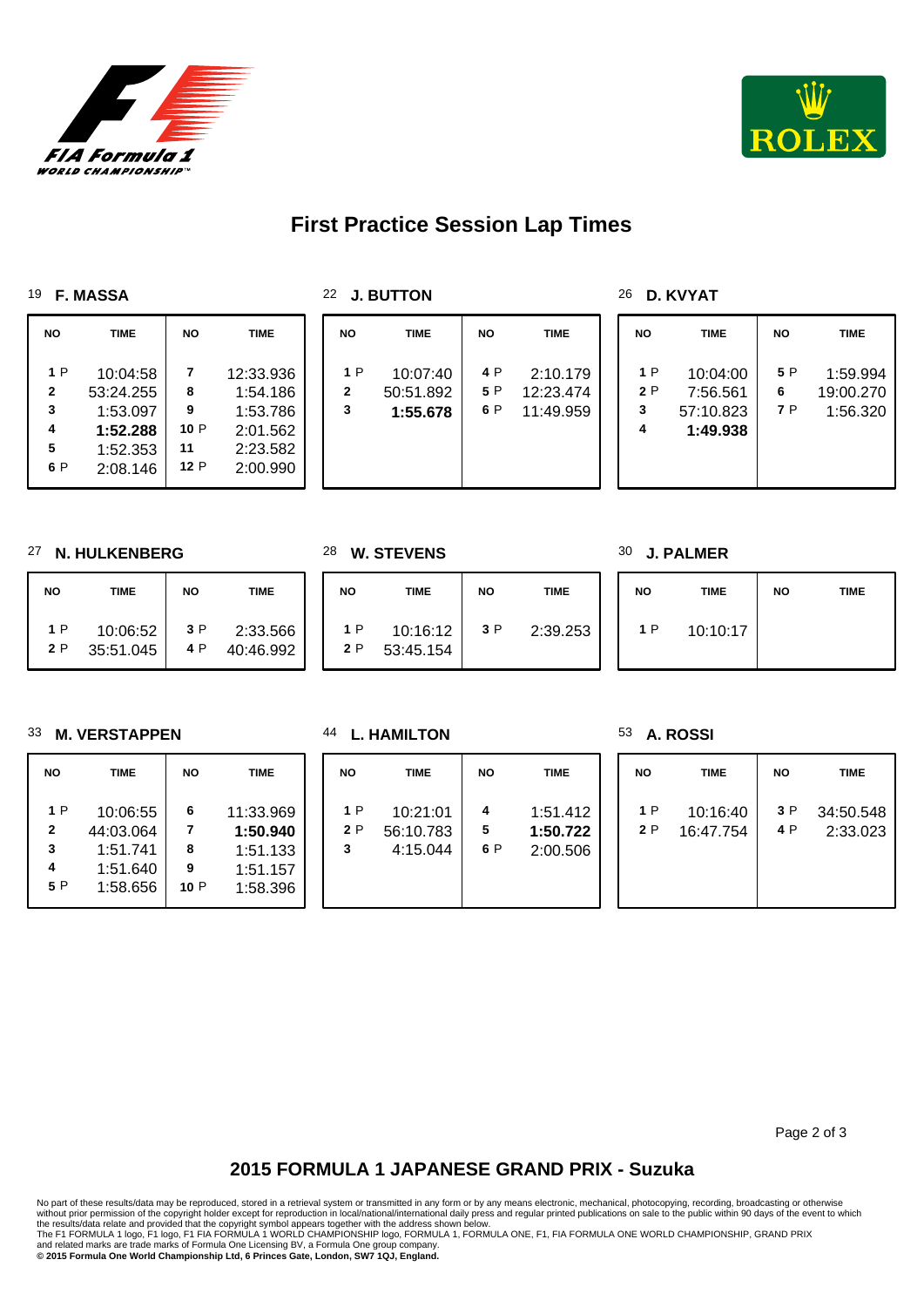



# **First Practice Session Lap Times**

#### **F. MASSA**

## **D. KVYAT**

| NO.          | <b>TIME</b> | <b>NO</b> | TIME      | <b>NO</b>    | <b>TIME</b> | <b>NO</b> | <b>TIME</b> | <b>NO</b> | <b>TIME</b> | <b>NO</b> | <b>TIME</b> |
|--------------|-------------|-----------|-----------|--------------|-------------|-----------|-------------|-----------|-------------|-----------|-------------|
| 1 P          | 10:04:58    |           | 12:33.936 | 1P           | 10:07:40    | 4 P       | 2:10.179    | 1 P       | 10:04:00    | 5 P       | 1:59.994    |
| $\mathbf{2}$ | 53:24.255   | 8         | 1:54.186  | $\mathbf{2}$ | 50:51.892   | 5 P       | 12:23.474   | 2P        | 7:56.561    | 6         | 19:00.270   |
| 3            | 1:53.097    | 9         | 1:53.786  | 3            | 1:55.678    | 6 P       | 11:49.959   | 3         | 57:10.823   | 7 P       | 1:56.320    |
| 4            | 1:52.288    | 10P       | 2:01.562  |              |             |           |             | 4         | 1:49.938    |           |             |
| 5            | 1:52.353    | 11        | 2:23.582  |              |             |           |             |           |             |           |             |
| 6 P          | 2:08.146    | 12 P      | 2:00.990  |              |             |           |             |           |             |           |             |

#### **N. HULKENBERG**

| <b>NO</b> | TIME      | <b>NO</b> | <b>TIME</b> |
|-----------|-----------|-----------|-------------|
| 1 P       | 10:06:52  | 3 P       | 2:33.566    |
| 2 P       | 35:51.045 | 4 P       | 40:46.992   |

**W. STEVENS**

| E.           | <b>NO</b> | <b>TIME</b>           | <b>NO</b> | <b>TIME</b> | <b>NO</b> | TIME     | <b>NO</b> | <b>TIME</b> |
|--------------|-----------|-----------------------|-----------|-------------|-----------|----------|-----------|-------------|
| .566<br>.992 | 1P<br>2 P | 10:16:12<br>53:45.154 | 3 P       | 2:39.253    | 1P        | 10:10:17 |           |             |

#### **M. VERSTAPPEN**

| NΟ           | TIME      | <b>NO</b> | TIME      |
|--------------|-----------|-----------|-----------|
| 1P           | 10:06:55  | 6         | 11:33.969 |
| $\mathbf{2}$ | 44:03.064 | 7         | 1:50.940  |
| 3            | 1:51.741  | 8         | 1:51.133  |
| 4            | 1:51.640  | 9         | 1:51.157  |
| 5 P          | 1:58.656  | 10 P      | 1:58.396  |

#### **L. HAMILTON**

| <b>NO</b>     | <b>TIME</b>                       | <b>NO</b>     | <b>TIME</b>                      | <b>NO</b> |           |
|---------------|-----------------------------------|---------------|----------------------------------|-----------|-----------|
| 1P<br>2P<br>3 | 10:21:01<br>56:10.783<br>4:15.044 | 4<br>5<br>6 P | 1:51.412<br>1:50.722<br>2:00.506 | 1P<br>2P  | 10<br>16: |

#### **A. ROSSI**

**J. PALMER**

| <b>NO</b> | <b>TIME</b> | <b>NO</b> | <b>TIME</b> |
|-----------|-------------|-----------|-------------|
| 1 P       | 10:16:40    | 3 P       | 34:50.548   |
| 2P        | 16:47.754   | 4 P       | 2:33.023    |

Page 2 of 3

## **2015 FORMULA 1 JAPANESE GRAND PRIX - Suzuka**

No part of these results/data may be reproduced, stored in a retrieval system or transmitted in any form or by any means electronic, mechanical, photocopying, recording, broadcasting or otherwise

without prior permission of the copyright holder except for reproduction in local/national/international daily press and regular printed publications on sale to the public within 90 days of the event to which<br>the results/d